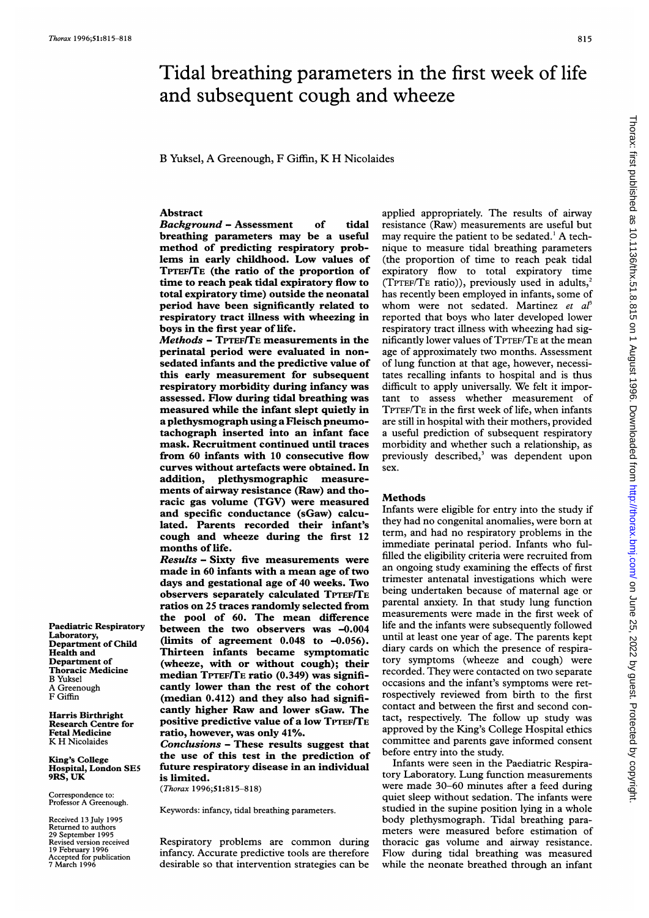# Tidal breathing parameters in the first week of life and subsequent cough and wheeze

B Yuksel, A Greenough, F Giffin, K H Nicolaides

## Abstract

Background - Assessment of tidal breathing parameters may be a useful method of predicting respiratory problems in early childhood. Low values of TPTEF/TE (the ratio of the proportion of time to reach peak tidal expiratory flow to total expiratory time) outside the neonatal period have been significantly related to respiratory tract illness with wheezing in boys in the first year of life.

Methods - TPTEF/TE measurements in the perinatal period were evaluated in nonsedated infants and the predictive value of this early measurement for subsequent respiratory morbidity during infancy was assessed. Flow during tidal breathing was measured while the infant slept quietly in a plethysmograph using a Fleisch pneumotachograph inserted into an infant face mask. Recruitment continued until traces from 60 infants with 10 consecutive flow curves without artefacts were obtained. In addition, plethysmographic measurements of airway resistance (Raw) and thoracic gas volume (TGV) were measured and specific conductance (sGaw) calculated. Parents recorded their infant's cough and wheeze during the first 12 months of life.

Results - Sixty five measurements were made in 60 infants with a mean age of two days and gestational age of 40 weeks. Two observers separately calculated TPTEF/TE ratios on 25 traces randomly selected from the pool of 60. The mean difference between the two observers was -0.004 (limits of agreement  $0.048$  to  $-0.056$ ). Thirteen infants became symptomatic (wheeze, with or without cough); their median TPTEF/TE ratio (0.349) was significantly lower than the rest of the cohort (median 0.412) and they also had significantly higher Raw and lower sGaw. The positive predictive value of a low TPTEF/TE ratio, however, was only 41%.

Conclusions - These results suggest that the use of this test in the prediction of future respiratory disease in an individual is limited.

(Thorax 1996;51:815-818)

Keywords: infancy, tidal breathing parameters.

Respiratory problems are common during infancy. Accurate predictive tools are therefore desirable so that intervention strategies can be

applied appropriately. The results of airway resistance (Raw) measurements are useful but may require the patient to be sedated.' A technique to measure tidal breathing parameters (the proportion of time to reach peak tidal expiratory flow to total expiratory time (TPTEF/TE ratio)), previously used in adults,' has recently been employed in infants, some of whom were not sedated. Martinez et  $a<sup>p</sup>$ reported that boys who later developed lower respiratory tract illness with wheezing had significantly lower values of TPTEF/TE at the mean age of approximately two months. Assessment of lung function at that age, however, necessitates recalling infants to hospital and is thus difficult to apply universally. We felt it important to assess whether measurement of TPTEF/TE in the first week of life, when infants are still in hospital with their mothers, provided a useful prediction of subsequent respiratory morbidity and whether such a relationship, as previously described,<sup>3</sup> was dependent upon sex.

#### **Methods**

Infants were eligible for entry into the study if they had no congenital anomalies, were born at term, and had no respiratory problems in the immediate perinatal period. Infants who fulfilled the eligibility criteria were recruited from an ongoing study examining the effects of first trimester antenatal investigations which were being undertaken because of maternal age or parental anxiety. In that study lung function measurements were made in the first week of life and the infants were subsequently followed until at least one year of age. The parents kept diary cards on which the presence of respiratory symptoms (wheeze and cough) were recorded. They were contacted on two separate occasions and the infant's symptoms were retrospectively reviewed from birth to the first contact and between the first and second contact, respectively. The follow up study was approved by the King's College Hospital ethics committee and parents gave informed consent before entry into the study.

Infants were seen in the Paediatric Respiratory Laboratory. Lung function measurements were made 30-60 minutes after a feed during quiet sleep without sedation. The infants were studied in the supine position lying in a whole body plethysmograph. Tidal breathing parameters were measured before estimation of thoracic gas volume and airway resistance. Flow during tidal breathing was measured while the neonate breathed through an infant

Paediatric Respiratory Laboratory, Department of Child Health and Department of Thoracic Medicine B Yuksel A Greenough F Giffin

Harris Birthright Research Centre for Fetal Medicine K H Nicolaides

King's College Hospital, London SE5 9RS, UK

Correspondence to: Professor A Greenough.

Received 13 July 1995 Returned to authors 29 September 1995 Revised version received 19 February 1996 Accepted for publication 7 March 1996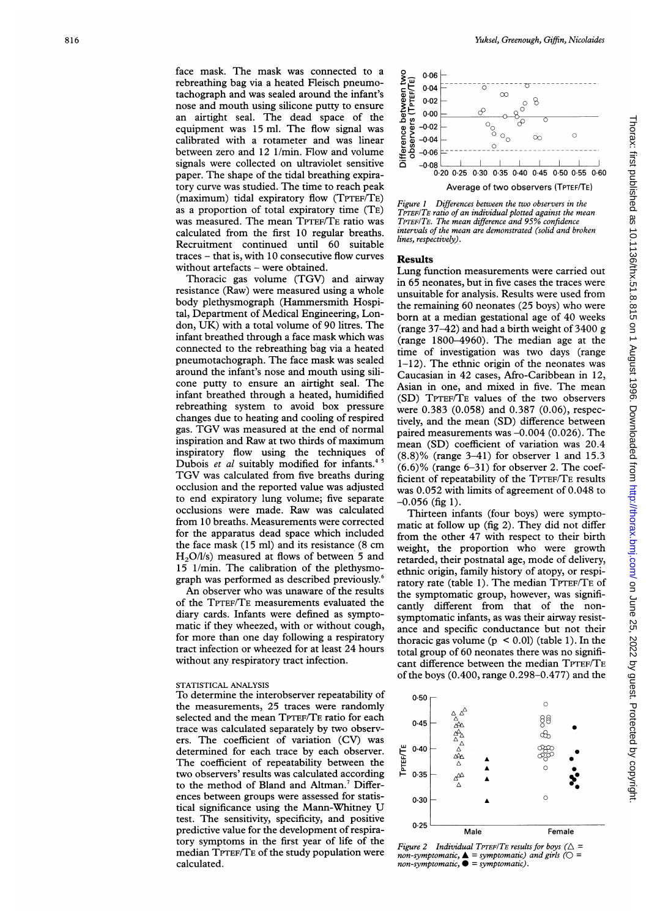face mask. The mask was connected to a rebreathing bag via a heated Fleisch pneumotachograph and was sealed around the infant's nose and mouth using silicone putty to ensure an airtight seal. The dead space of the equipment was 15 ml. The flow signal was calibrated with a rotameter and was linear between zero and 12 1/min. Flow and volume signals were collected on ultraviolet sensitive paper. The shape of the tidal breathing expiratory curve was studied. The time to reach peak (maximum) tidal expiratory flow (TPTEF/TE) as a proportion of total expiratory time (TE) was measured. The mean TPTEF/TE ratio was calculated from the first 10 regular breaths. Recruitment continued until 60 suitable traces - that is, with 10 consecutive flow curves without artefacts - were obtained.

Thoracic gas volume (TGV) and airway resistance (Raw) were measured using a whole body plethysmograph (Hammersmith Hospital, Department of Medical Engineering, London, UK) with <sup>a</sup> total volume of 90 litres. The infant breathed through a face mask which was connected to the rebreathing bag via a heated pneumotachograph. The face mask was sealed around the infant's nose and mouth using silicone putty to ensure an airtight seal. The infant breathed through a heated, humidified rebreathing system to avoid box pressure changes due to heating and cooling of respired gas. TGV was measured at the end of normal inspiration and Raw at two thirds of maximum inspiratory flow using the techniques of Dubois *et al* suitably modified for infants.<sup>43</sup> TGV was calculated from five breaths during occlusion and the reported value was adjusted to end expiratory lung volume; five separate occlusions were made. Raw was calculated from 10 breaths. Measurements were corrected for the apparatus dead space which included the face mask (15 ml) and its resistance (8 cm  $H<sub>2</sub>O/l/s$ ) measured at flows of between 5 and 15 1/min. The calibration of the plethysmograph was performed as described previously.6

An observer who was unaware of the results of the TPTEF/TE measurements evaluated the diary cards. Infants were defined as symptomatic if they wheezed, with or without cough, for more than one day following a respiratory tract infection or wheezed for at least 24 hours without any respiratory tract infection.

#### STATISTICAL ANALYSIS

To determine the interobserver repeatability of the measurements, 25 traces were randomly selected and the mean TPrEF/TE ratio for each trace was calculated separately by two observers. The coefficient of variation (CV) was determined for each trace by each observer. The coefficient of repeatability between the two observers' results was calculated according to the method of Bland and Altman.<sup>7</sup> Differences between groups were assessed for statistical significance using the Mann-Whitney U test. The sensitivity, specificity, and positive predictive value for the development of respiratory symptoms in the first year of life of the median TPTEF/TE of the study population were calculated.



Average of two observers (TPTEF/TE)

Figure <sup>1</sup> Differences between the two observers in the TPTEF/TE ratio of an individual plotted against the mean TPTEF/TE. The mean difference and 95% confidence intervals of the mean are demonstrated (solid and broken lines, respectively).

#### Results

Lung function measurements were carried out in 65 neonates, but in five cases the traces were unsuitable for analysis. Results were used from the remaining 60 neonates (25 boys) who were born at a median gestational age of 40 weeks (range 37-42) and had a birth weight of 3400 g (range 1800-4960). The median age at the time of investigation was two days (range 1-12). The ethnic origin of the neonates was Caucasian in 42 cases, Afro-Caribbean in 12, Asian in one, and mixed in five. The mean (SD) TPTEF/TE values of the two observers were 0.383 (0.058) and 0.387 (0.06), respectively, and the mean (SD) difference between paired measurements was -0.004 (0.026). The mean (SD) coefficient of variation was 20.4 (8.8)% (range 3-41) for observer <sup>1</sup> and 15.3  $(6.6)$ % (range 6-31) for observer 2. The coefficient of repeatability of the TPTEF/TE results was 0.052 with limits of agreement of 0.048 to  $-0.056$  (fig 1).

Thirteen infants (four boys) were symptomatic at follow up (fig 2). They did not differ from the other 47 with respect to their birth weight, the proportion who were growth retarded, their postnatal age, mode of delivery, ethnic origin, family history of atopy, or respiratory rate (table 1). The median TPTEF/TE of the symptomatic group, however, was significantly different from that of the nonsymptomatic infants, as was their airway resistance and specific conductance but not their thoracic gas volume  $(p < 0.01)$  (table 1). In the total group of 60 neonates there was no significant difference between the median TPTEF/TE of the boys (0.400, range 0.298-0.477) and the



Figure 2 Individual TPTEF/TE results for boys ( $\triangle$  = non-symptomatic,  $\triangle$  = symptomatic) and girls ( $\bigcirc$  =  $non-symptomatic, \bullet = symptomatic).$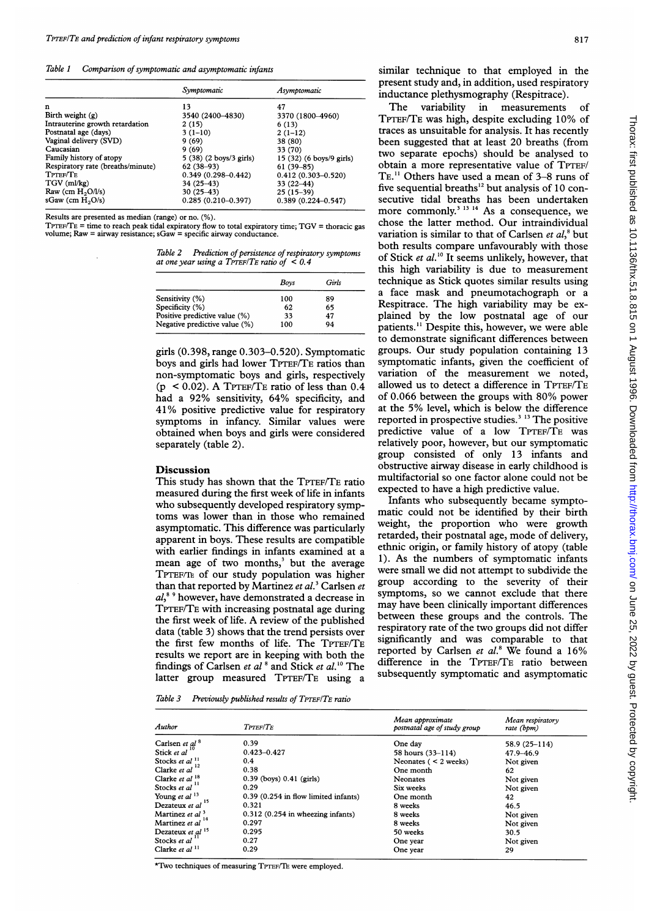Table <sup>1</sup> Comparison of symptomatic and asymptomatic infants

|                                   | Symptomatic             | Asymptomatic             |
|-----------------------------------|-------------------------|--------------------------|
| n                                 | 13                      | 47                       |
| Birth weight $(g)$                | 3540 (2400-4830)        | 3370 (1800-4960)         |
| Intrauterine growth retardation   | 2(15)                   | 6(13)                    |
| Postnatal age (days)              | $3(1-10)$               | $2(1-12)$                |
| Vaginal delivery (SVD)            | 9(69)                   | 38 (80)                  |
| Caucasian                         | 9(69)                   | 33 (70)                  |
| Family history of atopy           | 5 (38) (2 boys/3 girls) | 15 (32) (6 boys/9 girls) |
| Respiratory rate (breaths/minute) | $62(38-93)$             | $61(39 - 85)$            |
| TPTEF/TE                          | $0.349(0.298 - 0.442)$  | $0.412(0.303 - 0.520)$   |
| $TGV$ (ml/kg)                     | $34(25 - 43)$           | $33(22 - 44)$            |
| Raw (cm $H_2O/l/s$ )              | $30(25-43)$             | $25(15-39)$              |
| sGaw (cm $H_2O/s$ )               | $0.285(0.210 - 0.397)$  | $0.389(0.224 - 0.547)$   |

Results are presented as median (range) or no. (%).

 $T$ PTEF/ $T$ E = time to reach peak tidal expiratory flow to total expiratory time;  $TGV$  = thoracic gas volume;  $Raw = airway resistance$ ;  $Gaw = specific airway conductance$ .

Table 2 Prediction of persistence of respiratory symptoms at one year using a TPTEF/TE ratio of  $< 0.4$ 

|                               | Boys | Girls |
|-------------------------------|------|-------|
| Sensitivity (%)               | 100  | 89    |
| Specificity (%)               | 62   | 65    |
| Positive predictive value (%) | 33   | 47    |
| Negative predictive value (%) | 100  | 94    |

girls (0.398, range 0.303-0.520). Symptomatic boys and girls had lower TPTEF/TE ratios than non-symptomatic boys and girls, respectively  $(p < 0.02)$ . A TPTEF/TE ratio of less than  $0.4$ had <sup>a</sup> 92% sensitivity, 64% specificity, and 41% positive predictive value for respiratory symptoms in infancy. Similar values were obtained when boys and girls were considered separately (table 2).

### **Discussion**

This study has shown that the TPTEF/TE ratio measured during the first week of life in infants who subsequently developed respiratory symptoms was lower than in those who remained asymptomatic. This difference was particularly apparent in boys. These results are compatible with earlier findings in infants examined at a mean age of two months,' but the average TPTEF/TE of our study population was higher than that reported by Martinez et  $al$ .<sup>3</sup> Carlsen et  $al<sup>89</sup>$  however, have demonstrated a decrease in TPTEF/TE with increasing postnatal age during the first week of life. A review of the published data (table 3) shows that the trend persists over the first few months of life. The TPTEF/TE results we report are in keeping with both the findings of Carlsen et al<sup>8</sup> and Stick et al.<sup>10</sup> The latter group measured TPTEF/TE using a

similar technique to that employed in the present study and, in addition, used respiratory inductance plethysmography (Respitrace).

The variability in measurements of TPTEF/TE was high, despite excluding 10% of traces as unsuitable for analysis. It has recently been suggested that at least 20 breaths (from two separate epochs) should be analysed to obtain a more representative value of TPTEF/ TE.<sup>11</sup> Others have used a mean of 3-8 runs of five sequential breaths $^{12}$  but analysis of 10 consecutive tidal breaths has been undertaken more commonly.<sup>3 13 14</sup> As a consequence, we chose the latter method. Our intraindividual variation is similar to that of Carlsen et  $al$ ,<sup>8</sup> but both results compare unfavourably with those of Stick et al.<sup>10</sup> It seems unlikely, however, that this high variability is due to measurement technique as Stick quotes similar results using a face mask and pneumotachograph or a Respitrace. The high variability may be explained by the low postnatal age of our patients." Despite this, however, we were able to demonstrate significant differences between groups. Our study population containing 13 symptomatic infants, given the coefficient of variation of the measurement we noted, allowed us to detect a difference in TPTEF/TE of 0.066 between the groups with 80% power at the 5% level, which is below the difference reported in prospective studies.<sup>3</sup> <sup>13</sup> The positive predictive value of a low TPTEF/TE was relatively poor, however, but our symptomatic group consisted of only 13 infants and obstructive airway disease in early childhood is multifactorial so one factor alone could not be expected to have a high predictive value.

Infants who subsequently became symptomatic could not be identified by their birth weight, the proportion who were growth retarded, their postnatal age, mode of delivery, ethnic origin, or family history of atopy (table 1). As the numbers of symptomatic infants were small we did not attempt to subdivide the group according to the severity of their symptoms, so we cannot exclude that there may have been clinically important differences between these groups and the controls. The respiratory rate of the two groups did not differ significantly and was comparable to that reported by Carlsen et  $al$ <sup>8</sup> We found a 16% difference in the TPTEF/TE ratio between subsequently symptomatic and asymptomatic

Table 3 Previously published results of TPTEF/TE ratio

| Author                      | TPTEF/TE                                 | Mean approximate<br>postnatal age of study group | Mean respiratory<br>rate (bpm) |
|-----------------------------|------------------------------------------|--------------------------------------------------|--------------------------------|
| Carlsen et $al^8$           | 0.39                                     | One day                                          | 58.9 (25-114)                  |
| Stick et al                 | $0.423 - 0.427$                          | 58 hours (33–114)                                | 47.9-46.9                      |
| Stocks et al <sup>11</sup>  | 0.4                                      | Neonates $(< 2$ weeks)                           | Not given                      |
| Clarke et al $^{12}$        | 0.38                                     | One month                                        | 62                             |
| Clarke et al <sup>18</sup>  | $0.39$ (boys) $0.41$ (girls)             | <b>Neonates</b>                                  | Not given                      |
| Stocks et al <sup>11</sup>  | 0.29                                     | Six weeks                                        | Not given                      |
| Young et al <sup>13</sup>   | $0.39$ $(0.254$ in flow limited infants) | One month                                        | 42                             |
| Dezateux et al $^{15}$      | 0.321                                    | 8 weeks                                          | 46.5                           |
| Martinez et al <sup>3</sup> | $0.312$ $(0.254$ in wheezing infants)    | 8 weeks                                          | Not given                      |
| Martinez et al              | 0.297                                    | 8 weeks                                          | Not given                      |
| Dezateux et al $15$         | 0.295                                    | 50 weeks                                         | 30.5                           |
| Stocks et al                | 0.27                                     | One year                                         | Not given                      |
| Clarke et al $11$           | 0.29                                     | One year                                         | 29                             |

\*Two techniques of measuring TPrEF/TE were employed.